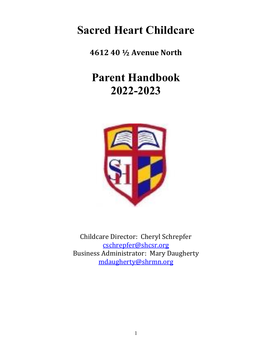# **Sacred Heart Childcare**

**4612 40 ½ Avenue North**

# **Parent Handbook 2022-2023**



Childcare Director: Cheryl Schrepfer [cschrepfer@shcsr.org](mailto:cschrepfer@shcsr.org) Business Administrator: Mary Daugherty [mdaugherty@shrmn.org](mailto:mdaugherty@shrmn.org)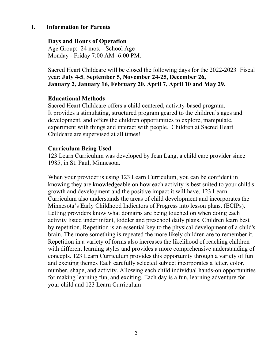#### **I. Information for Parents**

#### **Days and Hours of Operation**

Age Group: 24 mos. - School Age Monday - Friday 7:00 AM -6:00 PM.

Sacred Heart Childcare will be closed the following days for the 2022-2023 Fiscal year: **July 4-5**, **September 5, November 24-25, December 26, January 2, January 16, February 20, April 7, April 10 and May 29.**

#### **Educational Methods**

Sacred Heart Childcare offers a child centered, activity-based program. It provides a stimulating, structured program geared to the children's ages and development, and offers the children opportunities to explore, manipulate, experiment with things and interact with people. Children at Sacred Heart Childcare are supervised at all times!

#### **Curriculum Being Used**

123 Learn Curriculum was developed by Jean Lang, a child care provider since 1985, in St. Paul, Minnesota.

When your provider is using 123 Learn Curriculum, you can be confident in knowing they are knowledgeable on how each activity is best suited to your child's growth and development and the positive impact it will have. 123 Learn Curriculum also understands the areas of child development and incorporates the Minnesota's Early Childhood Indicators of Progress into lesson plans. (ECIPs). Letting providers know what domains are being touched on when doing each activity listed under infant, toddler and preschool daily plans. Children learn best by repetition. Repetition is an essential key to the physical development of a child's brain. The more something is repeated the more likely children are to remember it. Repetition in a variety of forms also increases the likelihood of reaching children with different learning styles and provides a more comprehensive understanding of concepts. 123 Learn Curriculum provides this opportunity through a variety of fun and exciting themes Each carefully selected subject incorporates a letter, color, number, shape, and activity. Allowing each child individual hands-on opportunities for making learning fun, and exciting. Each day is a fun, learning adventure for your child and 123 Learn Curriculum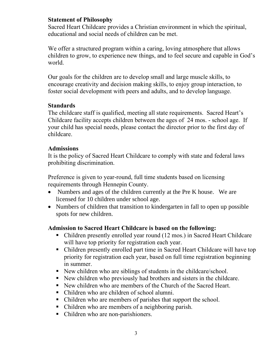#### **Statement of Philosophy**

Sacred Heart Childcare provides a Christian environment in which the spiritual, educational and social needs of children can be met.

We offer a structured program within a caring, loving atmosphere that allows children to grow, to experience new things, and to feel secure and capable in God's world.

Our goals for the children are to develop small and large muscle skills, to encourage creativity and decision making skills, to enjoy group interaction, to foster social development with peers and adults, and to develop language.

## **Standards**

The childcare staff is qualified, meeting all state requirements. Sacred Heart's Childcare facility accepts children between the ages of 24 mos. - school age. If your child has special needs, please contact the director prior to the first day of childcare.

## **Admissions**

It is the policy of Sacred Heart Childcare to comply with state and federal laws prohibiting discrimination.

Preference is given to year-round, full time students based on licensing requirements through Hennepin County.

- Numbers and ages of the children currently at the Pre K house. We are licensed for 10 children under school age.
- Numbers of children that transition to kindergarten in fall to open up possible spots for new children.

# **Admission to Sacred Heart Childcare is based on the following:**

- Children presently enrolled year round (12 mos.) in Sacred Heart Childcare will have top priority for registration each year.
- Children presently enrolled part time in Sacred Heart Childcare will have top priority for registration each year, based on full time registration beginning in summer.
- New children who are siblings of students in the childcare/school.
- New children who previously had brothers and sisters in the childcare.
- New children who are members of the Church of the Sacred Heart.
- Children who are children of school alumni.
- Children who are members of parishes that support the school.
- Children who are members of a neighboring parish.
- Children who are non-parishioners.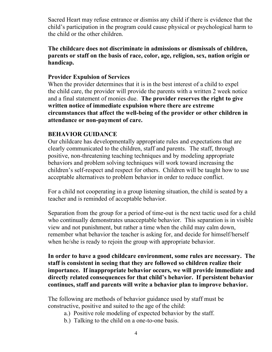Sacred Heart may refuse entrance or dismiss any child if there is evidence that the child's participation in the program could cause physical or psychological harm to the child or the other children.

**The childcare does not discriminate in admissions or dismissals of children, parents or staff on the basis of race, color, age, religion, sex, nation origin or handicap.**

#### **Provider Expulsion of Services**

When the provider determines that it is in the best interest of a child to expel the child care, the provider will provide the parents with a written 2 week notice and a final statement of monies due. **The provider reserves the right to give written notice of immediate expulsion where there are extreme circumstances that affect the well-being of the provider or other children in attendance or non-payment of care.**

# **BEHAVIOR GUIDANCE**

Our childcare has developmentally appropriate rules and expectations that are clearly communicated to the children, staff and parents. The staff, through positive, non-threatening teaching techniques and by modeling appropriate behaviors and problem solving techniques will work toward increasing the children's self-respect and respect for others. Children will be taught how to use acceptable alternatives to problem behavior in order to reduce conflict.

For a child not cooperating in a group listening situation, the child is seated by a teacher and is reminded of acceptable behavior.

Separation from the group for a period of time-out is the next tactic used for a child who continually demonstrates unacceptable behavior. This separation is in visible view and not punishment, but rather a time when the child may calm down, remember what behavior the teacher is asking for, and decide for himself/herself when he/she is ready to rejoin the group with appropriate behavior.

**In order to have a good childcare environment, some rules are necessary. The staff is consistent in seeing that they are followed so children realize their importance. If inappropriate behavior occurs, we will provide immediate and directly related consequences for that child's behavior. If persistent behavior continues, staff and parents will write a behavior plan to improve behavior.**

The following are methods of behavior guidance used by staff must be constructive, positive and suited to the age of the child:

- a.) Positive role modeling of expected behavior by the staff.
- b.) Talking to the child on a one-to-one basis.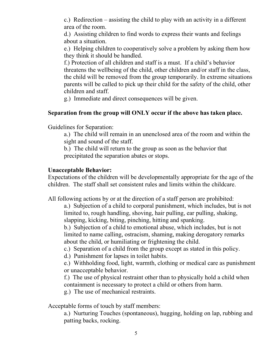c.) Redirection – assisting the child to play with an activity in a different area of the room.

d.) Assisting children to find words to express their wants and feelings about a situation.

e.) Helping children to cooperatively solve a problem by asking them how they think it should be handled.

f.) Protection of all children and staff is a must. If a child's behavior threatens the wellbeing of the child, other children and/or staff in the class, the child will be removed from the group temporarily. In extreme situations parents will be called to pick up their child for the safety of the child, other children and staff.

g.) Immediate and direct consequences will be given.

# **Separation from the group will ONLY occur if the above has taken place.**

Guidelines for Separation:

a.) The child will remain in an unenclosed area of the room and within the sight and sound of the staff.

b.) The child will return to the group as soon as the behavior that precipitated the separation abates or stops.

## **Unacceptable Behavior:**

Expectations of the children will be developmentally appropriate for the age of the children. The staff shall set consistent rules and limits within the childcare.

All following actions by or at the direction of a staff person are prohibited:

a.) Subjection of a child to corporal punishment, which includes, but is not limited to, rough handling, shoving, hair pulling, ear pulling, shaking, slapping, kicking, biting, pinching, hitting and spanking.

b.) Subjection of a child to emotional abuse, which includes, but is not limited to name calling, ostracism, shaming, making derogatory remarks about the child, or humiliating or frightening the child.

- c.) Separation of a child from the group except as stated in this policy.
- d.) Punishment for lapses in toilet habits.

e.) Withholding food, light, warmth, clothing or medical care as punishment or unacceptable behavior.

f.) The use of physical restraint other than to physically hold a child when containment is necessary to protect a child or others from harm.

g.) The use of mechanical restraints.

Acceptable forms of touch by staff members:

a.) Nurturing Touches (spontaneous), hugging, holding on lap, rubbing and patting backs, rocking.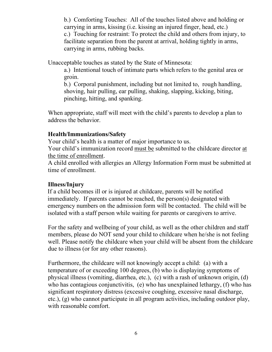b.) Comforting Touches: All of the touches listed above and holding or carrying in arms, kissing (i.e. kissing an injured finger, head, etc.) c.) Touching for restraint: To protect the child and others from injury, to facilitate separation from the parent at arrival, holding tightly in arms, carrying in arms, rubbing backs.

Unacceptable touches as stated by the State of Minnesota:

a.) Intentional touch of intimate parts which refers to the genital area or groin.

b.) Corporal punishment, including but not limited to, rough handling, shoving, hair pulling, ear pulling, shaking, slapping, kicking, biting, pinching, hitting, and spanking.

When appropriate, staff will meet with the child's parents to develop a plan to address the behavior.

# **Health/Immunizations/Safety**

Your child's health is a matter of major importance to us.

Your child's immunization record must be submitted to the childcare director at the time of enrollment.

A child enrolled with allergies an Allergy Information Form must be submitted at time of enrollment.

# **Illness/Injury**

If a child becomes ill or is injured at childcare, parents will be notified immediately. If parents cannot be reached, the person(s) designated with emergency numbers on the admission form will be contacted. The child will be isolated with a staff person while waiting for parents or caregivers to arrive.

For the safety and wellbeing of your child, as well as the other children and staff members, please do NOT send your child to childcare when he/she is not feeling well. Please notify the childcare when your child will be absent from the childcare due to illness (or for any other reasons).

Furthermore, the childcare will not knowingly accept a child: (a) with a temperature of or exceeding 100 degrees, (b) who is displaying symptoms of physical illness (vomiting, diarrhea, etc.), (c) with a rash of unknown origin, (d) who has contagious conjunctivitis, (e) who has unexplained lethargy, (f) who has significant respiratory distress (excessive coughing, excessive nasal discharge, etc.), (g) who cannot participate in all program activities, including outdoor play, with reasonable comfort.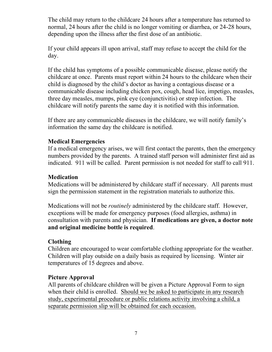The child may return to the childcare 24 hours after a temperature has returned to normal, 24 hours after the child is no longer vomiting or diarrhea, or 24-28 hours, depending upon the illness after the first dose of an antibiotic.

If your child appears ill upon arrival, staff may refuse to accept the child for the day.

If the child has symptoms of a possible communicable disease, please notify the childcare at once. Parents must report within 24 hours to the childcare when their child is diagnosed by the child's doctor as having a contagious disease or a communicable disease including chicken pox, cough, head lice, impetigo, measles, three day measles, mumps, pink eye (conjunctivitis) or strep infection. The childcare will notify parents the same day it is notified with this information.

If there are any communicable diseases in the childcare, we will notify family's information the same day the childcare is notified.

# **Medical Emergencies**

If a medical emergency arises, we will first contact the parents, then the emergency numbers provided by the parents. A trained staff person will administer first aid as indicated. 911 will be called. Parent permission is not needed for staff to call 911.

## **Medication**

Medications will be administered by childcare staff if necessary. All parents must sign the permission statement in the registration materials to authorize this.

Medications will not be *routinely* administered by the childcare staff. However, exceptions will be made for emergency purposes (food allergies, asthma) in consultation with parents and physician. **If medications are given, a doctor note and original medicine bottle is required**.

# **Clothing**

Children are encouraged to wear comfortable clothing appropriate for the weather. Children will play outside on a daily basis as required by licensing. Winter air temperatures of 15 degrees and above.

# **Picture Approval**

All parents of childcare children will be given a Picture Approval Form to sign when their child is enrolled. Should we be asked to participate in any research study, experimental procedure or public relations activity involving a child, a separate permission slip will be obtained for each occasion.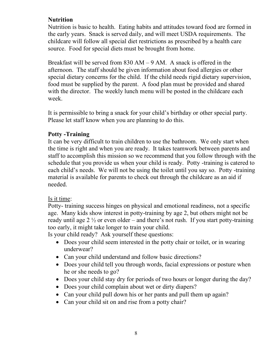# **Nutrition**

Nutrition is basic to health. Eating habits and attitudes toward food are formed in the early years. Snack is served daily, and will meet USDA requirements. The childcare will follow all special diet restrictions as prescribed by a health care source. Food for special diets must be brought from home.

Breakfast will be served from 830 AM – 9 AM. A snack is offered in the afternoon. The staff should be given information about food allergies or other special dietary concerns for the child. If the child needs rigid dietary supervision, food must be supplied by the parent. A food plan must be provided and shared with the director. The weekly lunch menu will be posted in the childcare each week.

It is permissible to bring a snack for your child's birthday or other special party. Please let staff know when you are planning to do this.

## **Potty -Training**

It can be very difficult to train children to use the bathroom. We only start when the time is right and when you are ready. It takes teamwork between parents and staff to accomplish this mission so we recommend that you follow through with the schedule that you provide us when your child is ready. Potty -training is catered to each child's needs. We will not be using the toilet until you say so. Potty -training material is available for parents to check out through the childcare as an aid if needed.

#### Is it time:

Potty- training success hinges on physical and emotional readiness, not a specific age. Many kids show interest in potty-training by age 2, but others might not be ready until age  $2\frac{1}{2}$  or even older – and there's not rush. If you start potty-training too early, it might take longer to train your child.

Is your child ready? Ask yourself these questions:

- Does your child seem interested in the potty chair or toilet, or in wearing underwear?
- Can your child understand and follow basic directions?
- Does your child tell you through words, facial expressions or posture when he or she needs to go?
- Does your child stay dry for periods of two hours or longer during the day?
- Does your child complain about wet or dirty diapers?
- Can your child pull down his or her pants and pull them up again?
- Can your child sit on and rise from a potty chair?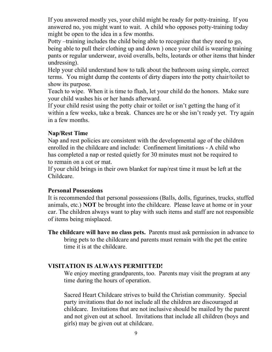If you answered mostly yes, your child might be ready for potty-training. If you answered no, you might want to wait. A child who opposes potty-training today might be open to the idea in a few months.

Potty –training includes the child being able to recognize that they need to go, being able to pull their clothing up and down ) once your child is wearing training pants or regular underwear, avoid overalls, belts, leotards or other items that hinder undressing).

Help your child understand how to talk about the bathroom using simple, correct terms. You might dump the contents of dirty diapers into the potty chair/toilet to show its purpose.

Teach to wipe. When it is time to flush, let your child do the honors. Make sure your child washes his or her hands afterward.

If your child resist using the potty chair or toilet or isn't getting the hang of it within a few weeks, take a break. Chances are he or she isn't ready yet. Try again in a few months.

## **Nap/Rest Time**

Nap and rest policies are consistent with the developmental age of the children enrolled in the childcare and include: Confinement limitations - A child who has completed a nap or rested quietly for 30 minutes must not be required to to remain on a cot or mat.

If your child brings in their own blanket for nap/rest time it must be left at the Childcare.

#### **Personal Possessions**

It is recommended that personal possessions (Balls, dolls, figurines, trucks, stuffed animals, etc.) **NOT** be brought into the childcare. Please leave at home or in your car. The children always want to play with such items and staff are not responsible of items being misplaced.

**The childcare will have no class pets.** Parents must ask permission in advance to bring pets to the childcare and parents must remain with the pet the entire time it is at the childcare.

# **VISITATION IS ALWAYS PERMITTED!**

We enjoy meeting grandparents, too. Parents may visit the program at any time during the hours of operation.

Sacred Heart Childcare strives to build the Christian community. Special party invitations that do not include all the children are discouraged at childcare. Invitations that are not inclusive should be mailed by the parent and not given out at school. Invitations that include all children (boys and girls) may be given out at childcare.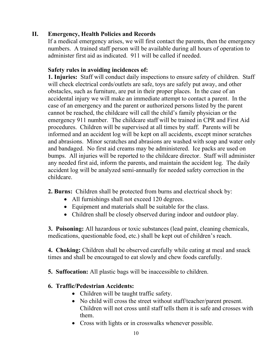# **II. Emergency, Health Policies and Records**

If a medical emergency arises, we will first contact the parents, then the emergency numbers. A trained staff person will be available during all hours of operation to administer first aid as indicated. 911 will be called if needed.

## **Safety rules in avoiding incidences of:**

**1. Injuries:** Staff will conduct daily inspections to ensure safety of children. Staff will check electrical cords/outlets are safe, toys are safely put away, and other obstacles, such as furniture, are put in their proper places. In the case of an accidental injury we will make an immediate attempt to contact a parent. In the case of an emergency and the parent or authorized persons listed by the parent cannot be reached, the childcare will call the child's family physician or the emergency 911 number. The childcare staff will be trained in CPR and First Aid procedures. Children will be supervised at all times by staff. Parents will be informed and an accident log will be kept on all accidents, except minor scratches and abrasions. Minor scratches and abrasions are washed with soap and water only and bandaged. No first aid creams may be administered. Ice packs are used on bumps. All injuries will be reported to the childcare director. Staff will administer any needed first aid, inform the parents, and maintain the accident log. The daily accident log will be analyzed semi-annually for needed safety correction in the childcare.

**2. Burns:** Children shall be protected from burns and electrical shock by:

- All furnishings shall not exceed 120 degrees.
- Equipment and materials shall be suitable for the class.
- Children shall be closely observed during indoor and outdoor play.

**3. Poisoning:** All hazardous or toxic substances (lead paint, cleaning chemicals, medications, questionable food, etc.) shall be kept out of children's reach.

**4. Choking:** Children shall be observed carefully while eating at meal and snack times and shall be encouraged to eat slowly and chew foods carefully.

**5. Suffocation:** All plastic bags will be inaccessible to children.

# **6. Traffic/Pedestrian Accidents:**

- Children will be taught traffic safety.
- No child will cross the street without staff/teacher/parent present. Children will not cross until staff tells them it is safe and crosses with them.
- Cross with lights or in crosswalks whenever possible.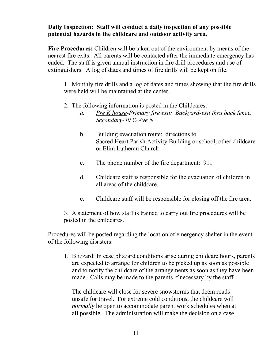# **Daily Inspection: Staff will conduct a daily inspection of any possible potential hazards in the childcare and outdoor activity area.**

**Fire Procedures:** Children will be taken out of the environment by means of the nearest fire exits. All parents will be contacted after the immediate emergency has ended. The staff is given annual instruction in fire drill procedures and use of extinguishers. A log of dates and times of fire drills will be kept on file.

1. Monthly fire drills and a log of dates and times showing that the fire drills were held will be maintained at the center.

- 2. The following information is posted in the Childcares:
	- *a. Pre K house-Primary fire exit: Backyard-exit thru back fence. Secondary-40 ½ Ave N*
	- b. Building evacuation route: directions to Sacred Heart Parish Activity Building or school, other childcare or Elim Lutheran Church
	- c. The phone number of the fire department: 911
	- d. Childcare staff is responsible for the evacuation of children in all areas of the childcare.
	- e. Childcare staff will be responsible for closing off the fire area.

3. A statement of how staff is trained to carry out fire procedures will be posted in the childcares.

Procedures will be posted regarding the location of emergency shelter in the event of the following disasters:

1. Blizzard: In case blizzard conditions arise during childcare hours, parents are expected to arrange for children to be picked up as soon as possible and to notify the childcare of the arrangements as soon as they have been made. Calls may be made to the parents if necessary by the staff.

The childcare will close for severe snowstorms that deem roads unsafe for travel. For extreme cold conditions, the childcare will *normally* be open to accommodate parent work schedules when at all possible. The administration will make the decision on a case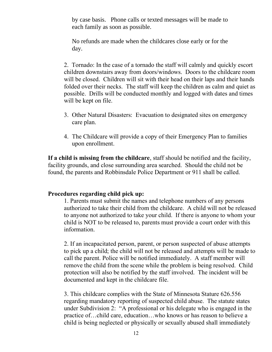by case basis. Phone calls or texted messages will be made to each family as soon as possible.

No refunds are made when the childcares close early or for the day.

2. Tornado: In the case of a tornado the staff will calmly and quickly escort children downstairs away from doors/windows. Doors to the childcare room will be closed. Children will sit with their head on their laps and their hands folded over their necks. The staff will keep the children as calm and quiet as possible. Drills will be conducted monthly and logged with dates and times will be kept on file.

- 3. Other Natural Disasters: Evacuation to designated sites on emergency care plan.
- 4. The Childcare will provide a copy of their Emergency Plan to families upon enrollment.

**If a child is missing from the childcare**, staff should be notified and the facility, facility grounds, and close surrounding area searched. Should the child not be found, the parents and Robbinsdale Police Department or 911 shall be called.

# **Procedures regarding child pick up:**

1. Parents must submit the names and telephone numbers of any persons authorized to take their child from the childcare. A child will not be released to anyone not authorized to take your child. If there is anyone to whom your child is NOT to be released to, parents must provide a court order with this information.

2. If an incapacitated person, parent, or person suspected of abuse attempts to pick up a child; the child will not be released and attempts will be made to call the parent. Police will be notified immediately. A staff member will remove the child from the scene while the problem is being resolved. Child protection will also be notified by the staff involved. The incident will be documented and kept in the childcare file.

3. This childcare complies with the State of Minnesota Stature 626.556 regarding mandatory reporting of suspected child abuse. The statute states under Subdivision 2: "A professional or his delegate who is engaged in the practice of…child care, education…who knows or has reason to believe a child is being neglected or physically or sexually abused shall immediately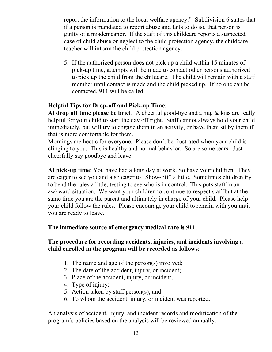report the information to the local welfare agency." Subdivision 6 states that if a person is mandated to report abuse and fails to do so, that person is guilty of a misdemeanor. If the staff of this childcare reports a suspected case of child abuse or neglect to the child protection agency, the childcare teacher will inform the child protection agency.

5. If the authorized person does not pick up a child within 15 minutes of pick-up time, attempts will be made to contact other persons authorized to pick up the child from the childcare. The child will remain with a staff member until contact is made and the child picked up. If no one can be contacted, 911 will be called.

# **Helpful Tips for Drop-off and Pick-up Time**:

**At drop off time please be brief**. A cheerful good-bye and a hug & kiss are really helpful for your child to start the day off right. Staff cannot always hold your child immediately, but will try to engage them in an activity, or have them sit by them if that is more comfortable for them.

Mornings are hectic for everyone. Please don't be frustrated when your child is clinging to you. This is healthy and normal behavior. So are some tears. Just cheerfully say goodbye and leave.

**At pick-up time**: You have had a long day at work. So have your children. They are eager to see you and also eager to "Show-off" a little. Sometimes children try to bend the rules a little, testing to see who is in control. This puts staff in an awkward situation. We want your children to continue to respect staff but at the same time you are the parent and ultimately in charge of your child. Please help your child follow the rules. Please encourage your child to remain with you until you are ready to leave.

# **The immediate source of emergency medical care is 911**.

# **The procedure for recording accidents, injuries, and incidents involving a child enrolled in the program will be recorded as follows**:

- 1. The name and age of the person(s) involved;
- 2. The date of the accident, injury, or incident;
- 3. Place of the accident, injury, or incident;
- 4. Type of injury;
- 5. Action taken by staff person(s); and
- 6. To whom the accident, injury, or incident was reported.

An analysis of accident, injury, and incident records and modification of the program's policies based on the analysis will be reviewed annually.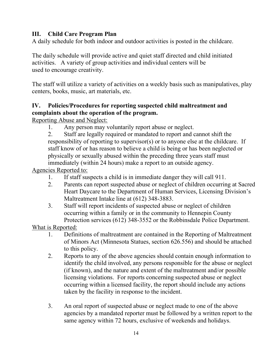# **III. Child Care Program Plan**

A daily schedule for both indoor and outdoor activities is posted in the childcare.

The daily schedule will provide active and quiet staff directed and child initiated activities. A variety of group activities and individual centers will be used to encourage creativity.

The staff will utilize a variety of activities on a weekly basis such as manipulatives, play centers, books, music, art materials, etc.

# **IV. Policies/Procedures for reporting suspected child maltreatment and complaints about the operation of the program.**

Reporting Abuse and Neglect:

1. Any person may voluntarily report abuse or neglect.

2. Staff are legally required or mandated to report and cannot shift the responsibility of reporting to supervisor(s) or to anyone else at the childcare. If staff know of or has reason to believe a child is being or has been neglected or physically or sexually abused within the preceding three years staff must immediately (within 24 hours) make a report to an outside agency.

Agencies Reported to:

- 1. If staff suspects a child is in immediate danger they will call 911.
- 2. Parents can report suspected abuse or neglect of children occurring at Sacred Heart Daycare to the Department of Human Services, Licensing Division's Maltreatment Intake line at (612) 348-3883.
- 3. Staff will report incidents of suspected abuse or neglect of children occurring within a family or in the community to Hennepin County Protection services (612) 348-3552 or the Robbinsdale Police Department.

What is Reported:

- 1. Definitions of maltreatment are contained in the Reporting of Maltreatment of Minors Act (Minnesota Statues, section 626.556) and should be attached to this policy.
- 2. Reports to any of the above agencies should contain enough information to identify the child involved, any persons responsible for the abuse or neglect (if known), and the nature and extent of the maltreatment and/or possible licensing violations. For reports concerning suspected abuse or neglect occurring within a licensed facility, the report should include any actions taken by the facility in response to the incident.
- 3. An oral report of suspected abuse or neglect made to one of the above agencies by a mandated reporter must be followed by a written report to the same agency within 72 hours, exclusive of weekends and holidays.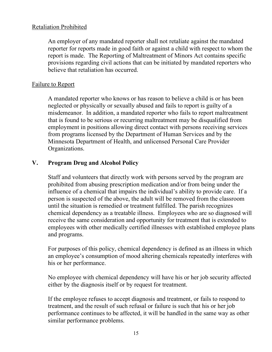#### Retaliation Prohibited

An employer of any mandated reporter shall not retaliate against the mandated reporter for reports made in good faith or against a child with respect to whom the report is made. The Reporting of Maltreatment of Minors Act contains specific provisions regarding civil actions that can be initiated by mandated reporters who believe that retaliation has occurred.

#### Failure to Report

A mandated reporter who knows or has reason to believe a child is or has been neglected or physically or sexually abused and fails to report is guilty of a misdemeanor. In addition, a mandated reporter who fails to report maltreatment that is found to be serious or recurring maltreatment may be disqualified from employment in positions allowing direct contact with persons receiving services from programs licensed by the Department of Human Services and by the Minnesota Department of Health, and unlicensed Personal Care Provider Organizations.

## **V. Program Drug and Alcohol Policy**

Staff and volunteers that directly work with persons served by the program are prohibited from abusing prescription medication and/or from being under the influence of a chemical that impairs the individual's ability to provide care. If a person is suspected of the above, the adult will be removed from the classroom until the situation is remedied or treatment fulfilled. The parish recognizes chemical dependency as a treatable illness. Employees who are so diagnosed will receive the same consideration and opportunity for treatment that is extended to employees with other medically certified illnesses with established employee plans and programs.

For purposes of this policy, chemical dependency is defined as an illness in which an employee's consumption of mood altering chemicals repeatedly interferes with his or her performance.

No employee with chemical dependency will have his or her job security affected either by the diagnosis itself or by request for treatment.

If the employee refuses to accept diagnosis and treatment, or fails to respond to treatment, and the result of such refusal or failure is such that his or her job performance continues to be affected, it will be handled in the same way as other similar performance problems.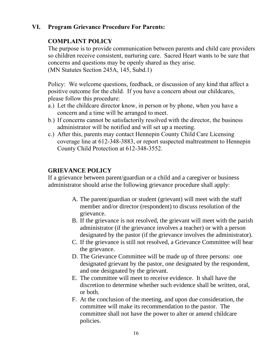# **VI. Program Grievance Procedure For Parents:**

# **COMPLAINT POLICY**

The purpose is to provide communication between parents and child care providers so children receive consistent, nurturing care. Sacred Heart wants to be sure that concerns and questions may be openly shared as they arise. (MN Statutes Section 245A, 145, Subd.1)

Policy: We welcome questions, feedback, or discussion of any kind that affect a positive outcome for the child. If you have a concern about our childcares, please follow this procedure:

- a.) Let the childcare director know, in person or by phone, when you have a concern and a time will be arranged to meet.
- b.) If concerns cannot be satisfactorily resolved with the director, the business administrator will be notified and will set up a meeting.
- c.) After this, parents may contact Hennepin County Child Care Licensing coverage line at 612-348-3883, or report suspected maltreatment to Hennepin County Child Protection at 612-348-3552.

# **GRIEVANCE POLICY**

If a grievance between parent/guardian or a child and a caregiver or business administrator should arise the following grievance procedure shall apply:

- A. The parent/guardian or student (grievant) will meet with the staff member and/or director (respondent) to discuss resolution of the grievance.
- B. If the grievance is not resolved, the grievant will meet with the parish administrator (if the grievance involves a teacher) or with a person designated by the pastor (if the grievance involves the administrator).
- C. If the grievance is still not resolved, a Grievance Committee will hear the grievance.
- D. The Grievance Committee will be made up of three persons: one designated grievant by the pastor, one designated by the respondent, and one designated by the grievant.
- E. The committee will meet to receive evidence. It shall have the discretion to determine whether such evidence shall be written, oral, or both.
- F. At the conclusion of the meeting, and upon due consideration, the committee will make its recommendation to the pastor. The committee shall not have the power to alter or amend childcare policies.